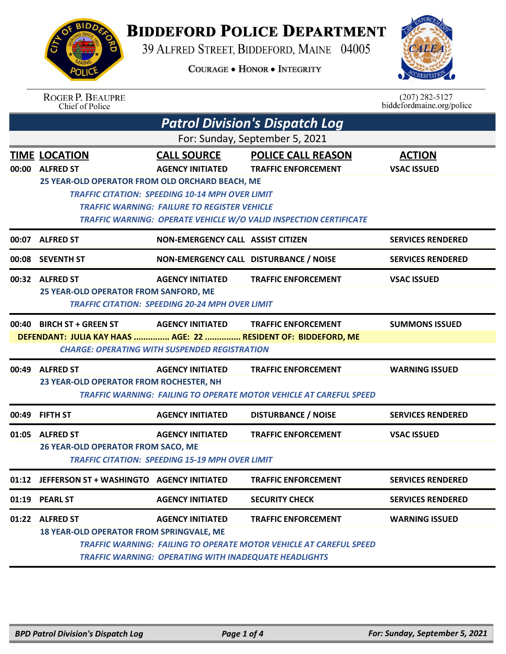

## **BIDDEFORD POLICE DEPARTMENT**

39 ALFRED STREET, BIDDEFORD, MAINE 04005

**COURAGE . HONOR . INTEGRITY** 



|                                | <b>ROGER P. BEAUPRE</b><br>Chief of Police                                |                                                        |                                                                           | $(207)$ 282-5127<br>biddefordmaine.org/police |  |  |  |
|--------------------------------|---------------------------------------------------------------------------|--------------------------------------------------------|---------------------------------------------------------------------------|-----------------------------------------------|--|--|--|
|                                | <b>Patrol Division's Dispatch Log</b>                                     |                                                        |                                                                           |                                               |  |  |  |
| For: Sunday, September 5, 2021 |                                                                           |                                                        |                                                                           |                                               |  |  |  |
|                                | <b>TIME LOCATION</b>                                                      | <b>CALL SOURCE</b>                                     | <b>POLICE CALL REASON</b>                                                 | <b>ACTION</b>                                 |  |  |  |
|                                | 00:00 ALFRED ST                                                           | <b>AGENCY INITIATED</b>                                | <b>TRAFFIC ENFORCEMENT</b>                                                | <b>VSAC ISSUED</b>                            |  |  |  |
|                                | 25 YEAR-OLD OPERATOR FROM OLD ORCHARD BEACH, ME                           |                                                        |                                                                           |                                               |  |  |  |
|                                | <b>TRAFFIC CITATION: SPEEDING 10-14 MPH OVER LIMIT</b>                    |                                                        |                                                                           |                                               |  |  |  |
|                                | <b>TRAFFIC WARNING: FAILURE TO REGISTER VEHICLE</b>                       |                                                        |                                                                           |                                               |  |  |  |
|                                |                                                                           |                                                        | <b>TRAFFIC WARNING: OPERATE VEHICLE W/O VALID INSPECTION CERTIFICATE</b>  |                                               |  |  |  |
| 00:07                          | <b>ALFRED ST</b>                                                          | NON-EMERGENCY CALL ASSIST CITIZEN                      |                                                                           | <b>SERVICES RENDERED</b>                      |  |  |  |
| 00:08                          | <b>SEVENTH ST</b>                                                         | NON-EMERGENCY CALL DISTURBANCE / NOISE                 |                                                                           | <b>SERVICES RENDERED</b>                      |  |  |  |
|                                | 00:32 ALFRED ST                                                           | <b>AGENCY INITIATED</b>                                | <b>TRAFFIC ENFORCEMENT</b>                                                | <b>VSAC ISSUED</b>                            |  |  |  |
|                                | 25 YEAR-OLD OPERATOR FROM SANFORD, ME                                     |                                                        |                                                                           |                                               |  |  |  |
|                                |                                                                           | <b>TRAFFIC CITATION: SPEEDING 20-24 MPH OVER LIMIT</b> |                                                                           |                                               |  |  |  |
|                                | 00:40 BIRCH ST + GREEN ST                                                 | <b>AGENCY INITIATED</b>                                | <b>TRAFFIC ENFORCEMENT</b>                                                | <b>SUMMONS ISSUED</b>                         |  |  |  |
|                                | DEFENDANT: JULIA KAY HAAS  AGE: 22  RESIDENT OF: BIDDEFORD, ME            |                                                        |                                                                           |                                               |  |  |  |
|                                |                                                                           | <b>CHARGE: OPERATING WITH SUSPENDED REGISTRATION</b>   |                                                                           |                                               |  |  |  |
|                                | 00:49 ALFRED ST                                                           | <b>AGENCY INITIATED</b>                                | <b>TRAFFIC ENFORCEMENT</b>                                                | <b>WARNING ISSUED</b>                         |  |  |  |
|                                | 23 YEAR-OLD OPERATOR FROM ROCHESTER, NH                                   |                                                        |                                                                           |                                               |  |  |  |
|                                |                                                                           |                                                        | <b>TRAFFIC WARNING: FAILING TO OPERATE MOTOR VEHICLE AT CAREFUL SPEED</b> |                                               |  |  |  |
|                                | 00:49 FIFTH ST                                                            | <b>AGENCY INITIATED</b>                                | <b>DISTURBANCE / NOISE</b>                                                | <b>SERVICES RENDERED</b>                      |  |  |  |
|                                | 01:05 ALFRED ST                                                           | <b>AGENCY INITIATED</b>                                | <b>TRAFFIC ENFORCEMENT</b>                                                | <b>VSAC ISSUED</b>                            |  |  |  |
|                                | 26 YEAR-OLD OPERATOR FROM SACO, ME                                        |                                                        |                                                                           |                                               |  |  |  |
|                                | <b>TRAFFIC CITATION: SPEEDING 15-19 MPH OVER LIMIT</b>                    |                                                        |                                                                           |                                               |  |  |  |
|                                | 01:12 JEFFERSON ST + WASHINGTO AGENCY INITIATED                           |                                                        | <b>TRAFFIC ENFORCEMENT</b>                                                | <b>SERVICES RENDERED</b>                      |  |  |  |
|                                | 01:19 PEARL ST                                                            | <b>AGENCY INITIATED</b>                                | <b>SECURITY CHECK</b>                                                     | <b>SERVICES RENDERED</b>                      |  |  |  |
| 01:22                          | <b>ALFRED ST</b>                                                          | <b>AGENCY INITIATED</b>                                | <b>TRAFFIC ENFORCEMENT</b>                                                | <b>WARNING ISSUED</b>                         |  |  |  |
|                                | 18 YEAR-OLD OPERATOR FROM SPRINGVALE, ME                                  |                                                        |                                                                           |                                               |  |  |  |
|                                | <b>TRAFFIC WARNING: FAILING TO OPERATE MOTOR VEHICLE AT CAREFUL SPEED</b> |                                                        |                                                                           |                                               |  |  |  |
|                                | <b>TRAFFIC WARNING: OPERATING WITH INADEQUATE HEADLIGHTS</b>              |                                                        |                                                                           |                                               |  |  |  |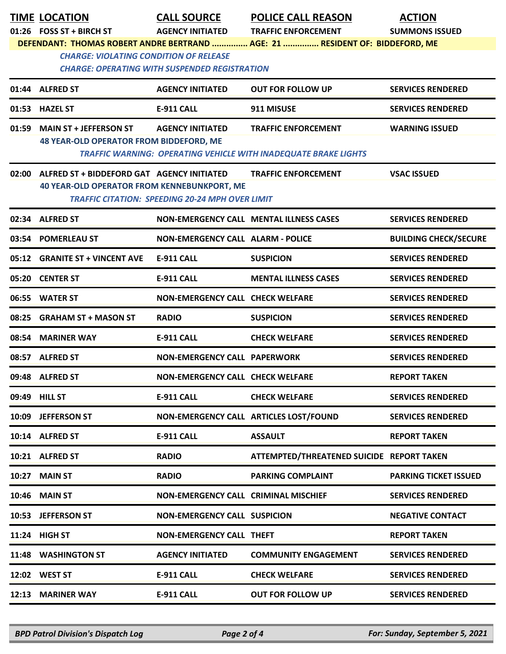|       | <b>TIME LOCATION</b><br>01:26 FOSS ST + BIRCH ST                                                 | <b>CALL SOURCE</b><br><b>AGENCY INITIATED</b>          | <b>POLICE CALL REASON</b><br><b>TRAFFIC ENFORCEMENT</b>                                              | <b>ACTION</b><br><b>SUMMONS ISSUED</b> |
|-------|--------------------------------------------------------------------------------------------------|--------------------------------------------------------|------------------------------------------------------------------------------------------------------|----------------------------------------|
|       |                                                                                                  |                                                        | DEFENDANT: THOMAS ROBERT ANDRE BERTRAND  AGE: 21  RESIDENT OF: BIDDEFORD, ME                         |                                        |
|       | <b>CHARGE: VIOLATING CONDITION OF RELEASE</b>                                                    | <b>CHARGE: OPERATING WITH SUSPENDED REGISTRATION</b>   |                                                                                                      |                                        |
|       | 01:44 ALFRED ST                                                                                  | <b>AGENCY INITIATED</b>                                | <b>OUT FOR FOLLOW UP</b>                                                                             | <b>SERVICES RENDERED</b>               |
|       | 01:53 HAZEL ST                                                                                   | <b>E-911 CALL</b>                                      | 911 MISUSE                                                                                           | <b>SERVICES RENDERED</b>               |
| 01:59 | <b>MAIN ST + JEFFERSON ST</b><br><b>48 YEAR-OLD OPERATOR FROM BIDDEFORD, ME</b>                  | <b>AGENCY INITIATED</b>                                | <b>TRAFFIC ENFORCEMENT</b><br><b>TRAFFIC WARNING: OPERATING VEHICLE WITH INADEQUATE BRAKE LIGHTS</b> | <b>WARNING ISSUED</b>                  |
| 02:00 | ALFRED ST + BIDDEFORD GAT AGENCY INITIATED<br><b>40 YEAR-OLD OPERATOR FROM KENNEBUNKPORT, ME</b> | <b>TRAFFIC CITATION: SPEEDING 20-24 MPH OVER LIMIT</b> | <b>TRAFFIC ENFORCEMENT</b>                                                                           | <b>VSAC ISSUED</b>                     |
|       | 02:34 ALFRED ST                                                                                  |                                                        | <b>NON-EMERGENCY CALL MENTAL ILLNESS CASES</b>                                                       | <b>SERVICES RENDERED</b>               |
|       | 03:54 POMERLEAU ST                                                                               | <b>NON-EMERGENCY CALL ALARM - POLICE</b>               |                                                                                                      | <b>BUILDING CHECK/SECURE</b>           |
|       | 05:12 GRANITE ST + VINCENT AVE                                                                   | E-911 CALL                                             | <b>SUSPICION</b>                                                                                     | <b>SERVICES RENDERED</b>               |
|       | 05:20 CENTER ST                                                                                  | <b>E-911 CALL</b>                                      | <b>MENTAL ILLNESS CASES</b>                                                                          | <b>SERVICES RENDERED</b>               |
|       | 06:55 WATER ST                                                                                   | <b>NON-EMERGENCY CALL CHECK WELFARE</b>                |                                                                                                      | <b>SERVICES RENDERED</b>               |
|       | 08:25 GRAHAM ST + MASON ST                                                                       | <b>RADIO</b>                                           | <b>SUSPICION</b>                                                                                     | <b>SERVICES RENDERED</b>               |
|       | 08:54 MARINER WAY                                                                                | <b>E-911 CALL</b>                                      | <b>CHECK WELFARE</b>                                                                                 | <b>SERVICES RENDERED</b>               |
|       | 08:57 ALFRED ST                                                                                  | <b>NON-EMERGENCY CALL PAPERWORK</b>                    |                                                                                                      | <b>SERVICES RENDERED</b>               |
|       | 09:48 ALFRED ST                                                                                  | NON-EMERGENCY CALL CHECK WELFARE                       |                                                                                                      | <b>REPORT TAKEN</b>                    |
|       | 09:49 HILL ST                                                                                    | <b>E-911 CALL</b>                                      | <b>CHECK WELFARE</b>                                                                                 | <b>SERVICES RENDERED</b>               |
|       | 10:09 JEFFERSON ST                                                                               |                                                        | NON-EMERGENCY CALL ARTICLES LOST/FOUND                                                               | <b>SERVICES RENDERED</b>               |
|       | 10:14 ALFRED ST                                                                                  | E-911 CALL                                             | <b>ASSAULT</b>                                                                                       | <b>REPORT TAKEN</b>                    |
|       | 10:21 ALFRED ST                                                                                  | <b>RADIO</b>                                           | ATTEMPTED/THREATENED SUICIDE REPORT TAKEN                                                            |                                        |
|       | 10:27 MAIN ST                                                                                    | <b>RADIO</b>                                           | <b>PARKING COMPLAINT</b>                                                                             | <b>PARKING TICKET ISSUED</b>           |
|       | 10:46 MAIN ST                                                                                    | NON-EMERGENCY CALL CRIMINAL MISCHIEF                   |                                                                                                      | <b>SERVICES RENDERED</b>               |
|       | 10:53 JEFFERSON ST                                                                               | <b>NON-EMERGENCY CALL SUSPICION</b>                    |                                                                                                      | <b>NEGATIVE CONTACT</b>                |
|       | 11:24 HIGH ST                                                                                    | <b>NON-EMERGENCY CALL THEFT</b>                        |                                                                                                      | <b>REPORT TAKEN</b>                    |
|       | 11:48 WASHINGTON ST                                                                              | <b>AGENCY INITIATED</b>                                | <b>COMMUNITY ENGAGEMENT</b>                                                                          | <b>SERVICES RENDERED</b>               |
|       | 12:02 WEST ST                                                                                    | <b>E-911 CALL</b>                                      | <b>CHECK WELFARE</b>                                                                                 | <b>SERVICES RENDERED</b>               |
|       | 12:13 MARINER WAY                                                                                | E-911 CALL                                             | <b>OUT FOR FOLLOW UP</b>                                                                             | <b>SERVICES RENDERED</b>               |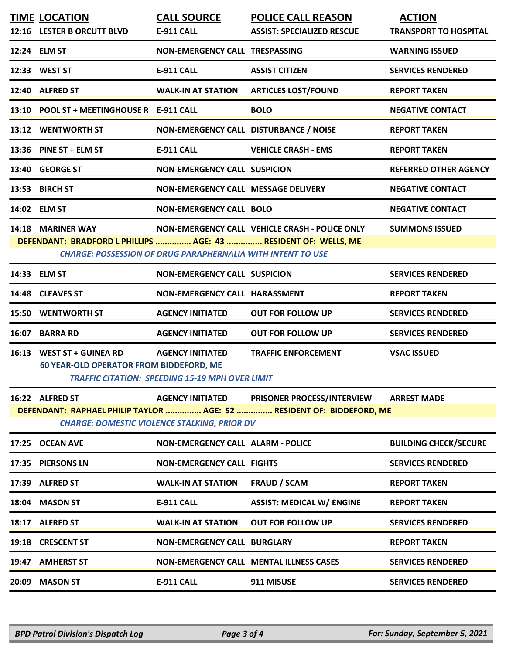|       | <b>TIME LOCATION</b><br>12:16 LESTER B ORCUTT BLVD                                   | <b>CALL SOURCE</b><br><b>E-911 CALL</b>                                           | <b>POLICE CALL REASON</b><br><b>ASSIST: SPECIALIZED RESCUE</b>                                             | <b>ACTION</b><br><b>TRANSPORT TO HOSPITAL</b> |
|-------|--------------------------------------------------------------------------------------|-----------------------------------------------------------------------------------|------------------------------------------------------------------------------------------------------------|-----------------------------------------------|
|       | 12:24 ELM ST                                                                         | NON-EMERGENCY CALL TRESPASSING                                                    |                                                                                                            | <b>WARNING ISSUED</b>                         |
|       | 12:33 WEST ST                                                                        | <b>E-911 CALL</b>                                                                 | <b>ASSIST CITIZEN</b>                                                                                      | <b>SERVICES RENDERED</b>                      |
|       | 12:40 ALFRED ST                                                                      | <b>WALK-IN AT STATION</b>                                                         | <b>ARTICLES LOST/FOUND</b>                                                                                 | <b>REPORT TAKEN</b>                           |
|       | 13:10 POOL ST + MEETINGHOUSE R E-911 CALL                                            |                                                                                   | <b>BOLO</b>                                                                                                | <b>NEGATIVE CONTACT</b>                       |
|       | 13:12 WENTWORTH ST                                                                   | NON-EMERGENCY CALL DISTURBANCE / NOISE                                            |                                                                                                            | <b>REPORT TAKEN</b>                           |
|       | 13:36 PINE ST + ELM ST                                                               | E-911 CALL                                                                        | <b>VEHICLE CRASH - EMS</b>                                                                                 | <b>REPORT TAKEN</b>                           |
|       | 13:40 GEORGE ST                                                                      | <b>NON-EMERGENCY CALL SUSPICION</b>                                               |                                                                                                            | <b>REFERRED OTHER AGENCY</b>                  |
|       | 13:53 BIRCH ST                                                                       | NON-EMERGENCY CALL MESSAGE DELIVERY                                               |                                                                                                            | <b>NEGATIVE CONTACT</b>                       |
|       | 14:02 ELM ST                                                                         | <b>NON-EMERGENCY CALL BOLO</b>                                                    |                                                                                                            | <b>NEGATIVE CONTACT</b>                       |
|       | 14:18 MARINER WAY<br>DEFENDANT: BRADFORD L PHILLIPS  AGE: 43  RESIDENT OF: WELLS, ME | <b>CHARGE: POSSESSION OF DRUG PARAPHERNALIA WITH INTENT TO USE</b>                | NON-EMERGENCY CALL VEHICLE CRASH - POLICE ONLY                                                             | <b>SUMMONS ISSUED</b>                         |
|       | 14:33 ELM ST                                                                         | <b>NON-EMERGENCY CALL SUSPICION</b>                                               |                                                                                                            | <b>SERVICES RENDERED</b>                      |
|       | 14:48 CLEAVES ST                                                                     | NON-EMERGENCY CALL HARASSMENT                                                     |                                                                                                            | <b>REPORT TAKEN</b>                           |
|       | <b>15:50 WENTWORTH ST</b>                                                            | <b>AGENCY INITIATED</b>                                                           | <b>OUT FOR FOLLOW UP</b>                                                                                   | <b>SERVICES RENDERED</b>                      |
|       | 16:07 BARRA RD                                                                       | <b>AGENCY INITIATED</b>                                                           | <b>OUT FOR FOLLOW UP</b>                                                                                   | <b>SERVICES RENDERED</b>                      |
|       | 16:13 WEST ST + GUINEA RD<br><b>60 YEAR-OLD OPERATOR FROM BIDDEFORD, ME</b>          | <b>AGENCY INITIATED</b><br><b>TRAFFIC CITATION: SPEEDING 15-19 MPH OVER LIMIT</b> | <b>TRAFFIC ENFORCEMENT</b>                                                                                 | <b>VSAC ISSUED</b>                            |
|       | 16:22 ALFRED ST                                                                      | <b>AGENCY INITIATED</b><br><b>CHARGE: DOMESTIC VIOLENCE STALKING, PRIOR DV</b>    | <b>PRISONER PROCESS/INTERVIEW</b><br>DEFENDANT: RAPHAEL PHILIP TAYLOR  AGE: 52  RESIDENT OF: BIDDEFORD, ME | <b>ARREST MADE</b>                            |
| 17:25 | <b>OCEAN AVE</b>                                                                     | <b>NON-EMERGENCY CALL ALARM - POLICE</b>                                          |                                                                                                            | <b>BUILDING CHECK/SECURE</b>                  |
| 17:35 | <b>PIERSONS LN</b>                                                                   | <b>NON-EMERGENCY CALL FIGHTS</b>                                                  |                                                                                                            | <b>SERVICES RENDERED</b>                      |
|       | 17:39 ALFRED ST                                                                      | <b>WALK-IN AT STATION</b>                                                         | <b>FRAUD / SCAM</b>                                                                                        | <b>REPORT TAKEN</b>                           |
| 18:04 | <b>MASON ST</b>                                                                      | <b>E-911 CALL</b>                                                                 | <b>ASSIST: MEDICAL W/ ENGINE</b>                                                                           | <b>REPORT TAKEN</b>                           |
|       | 18:17 ALFRED ST                                                                      | <b>WALK-IN AT STATION</b>                                                         | <b>OUT FOR FOLLOW UP</b>                                                                                   | <b>SERVICES RENDERED</b>                      |
| 19:18 | <b>CRESCENT ST</b>                                                                   | <b>NON-EMERGENCY CALL BURGLARY</b>                                                |                                                                                                            | <b>REPORT TAKEN</b>                           |
| 19:47 | <b>AMHERST ST</b>                                                                    |                                                                                   | <b>NON-EMERGENCY CALL MENTAL ILLNESS CASES</b>                                                             | <b>SERVICES RENDERED</b>                      |
| 20:09 | <b>MASON ST</b>                                                                      | <b>E-911 CALL</b>                                                                 | 911 MISUSE                                                                                                 | <b>SERVICES RENDERED</b>                      |
|       |                                                                                      |                                                                                   |                                                                                                            |                                               |